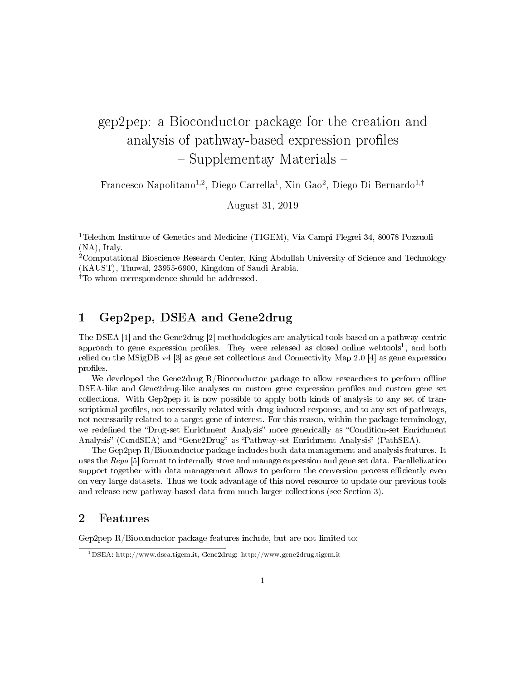# gep2pep: a Bioconductor package for the creation and analysis of pathway-based expression profiles - Supplementay Materials -

Francesco Napolitano<sup>1,2</sup>, Diego Carrella<sup>1</sup>, Xin Gao<sup>2</sup>, Diego Di Bernardo<sup>1,†</sup>

August 31, 2019

<sup>1</sup>Telethon Institute of Genetics and Medicine (TIGEM), Via Campi Flegrei 34, 80078 Pozzuoli (NA), Italy.

<sup>2</sup>Computational Bioscience Research Center, King Abdullah University of Science and Technology (KAUST), Thuwal, 23955-6900, Kingdom of Saudi Arabia.

†To whom correspondence should be addressed.

# 1 Gep2pep, DSEA and Gene2drug

The DSEA [1] and the Gene2drug [2] methodologies are analytical tools based on a pathway-centric approach to gene expression profiles. They were released as closed online webtools<sup>1</sup>, and both relied on the MSigDB v4 [3] as gene set collections and Connectivity Map 2.0 [4] as gene expression profiles.

We developed the Gene2drug  $R/B$ ioconductor package to allow researchers to perform offline DSEA-like and Gene2drug-like analyses on custom gene expression profiles and custom gene set collections. With Gep2pep it is now possible to apply both kinds of analysis to any set of transcriptional profiles, not necessarily related with drug-induced response, and to any set of pathways, not necessarily related to a target gene of interest. For this reason, within the package terminology, we redefined the "Drug-set Enrichment Analysis" more generically as "Condition-set Enrichment Analysis" (CondSEA) and "Gene2Drug" as "Pathway-set Enrichment Analysis" (PathSEA).

The Gep2pep R/Bioconductor package includes both data management and analysis features. It uses the Repo [5] format to internally store and manage expression and gene set data. Parallelization support together with data management allows to perform the conversion process efficiently even on very large datasets. Thus we took advantage of this novel resource to update our previous tools and release new pathway-based data from much larger collections (see Section 3).

### 2 Features

Gep2pep R/Bioconductor package features include, but are not limited to:

<sup>1</sup>DSEA: http://www.dsea.tigem.it, Gene2drug: http://www.gene2drug.tigem.it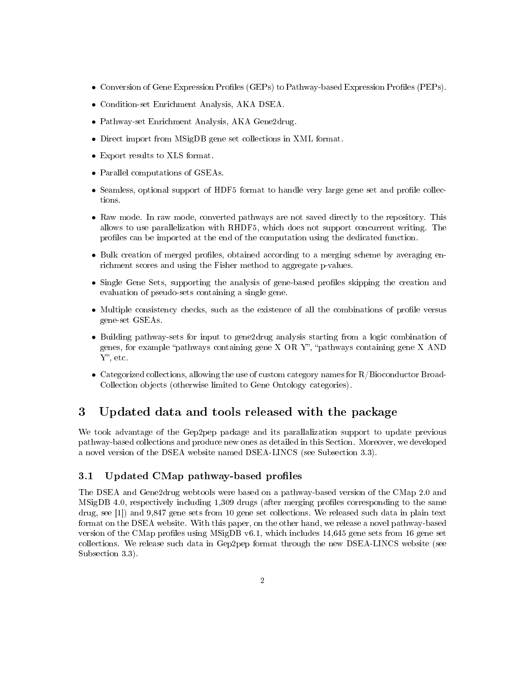- Conversion of Gene Expression Profiles (GEPs) to Pathway-based Expression Profiles (PEPs).
- Condition-set Enrichment Analysis, AKA DSEA.
- Pathway-set Enrichment Analysis, AKA Gene2drug.
- Direct import from MSigDB gene set collections in XML format.
- Export results to XLS format.
- Parallel computations of GSEAs.
- Seamless, optional support of HDF5 format to handle very large gene set and profile collections.
- Raw mode. In raw mode, converted pathways are not saved directly to the repository. This allows to use parallelization with RHDF5, which does not support concurrent writing. The profiles can be imported at the end of the computation using the dedicated function.
- Bulk creation of merged profiles, obtained according to a merging scheme by averaging enrichment scores and using the Fisher method to aggregate p-values.
- Single Gene Sets, supporting the analysis of gene-based profiles skipping the creation and evaluation of pseudo-sets containing a single gene.
- $\bullet$  Multiple consistency checks, such as the existence of all the combinations of profile versus gene-set GSEAs.
- Building pathway-sets for input to gene2drug analysis starting from a logic combination of genes, for example "pathways containing gene  $X$  OR  $Y$ ", "pathways containing gene  $X$  AND Y", etc.
- Categorized collections, allowing the use of custom category names for R/Bioconductor Broad-Collection objects (otherwise limited to Gene Ontology categories).

# 3 Updated data and tools released with the package

We took advantage of the Gep2pep package and its parallalization support to update previous pathway-based collections and produce new ones as detailed in this Section. Moreover, we developed a novel version of the DSEA website named DSEA-LINCS (see Subsection 3.3).

### 3.1 Updated CMap pathway-based profiles

The DSEA and Gene2drug webtools were based on a pathway-based version of the CMap 2.0 and MSigDB 4.0, respectively including 1,309 drugs (after merging profiles corresponding to the same drug, see [1]) and 9,847 gene sets from 10 gene set collections. We released such data in plain text format on the DSEA website. With this paper, on the other hand, we release a novel pathway-based version of the CMap profiles using MSigDB v6.1, which includes  $14,645$  gene sets from 16 gene set collections. We release such data in Gep2pep format through the new DSEA-LINCS website (see Subsection 3.3).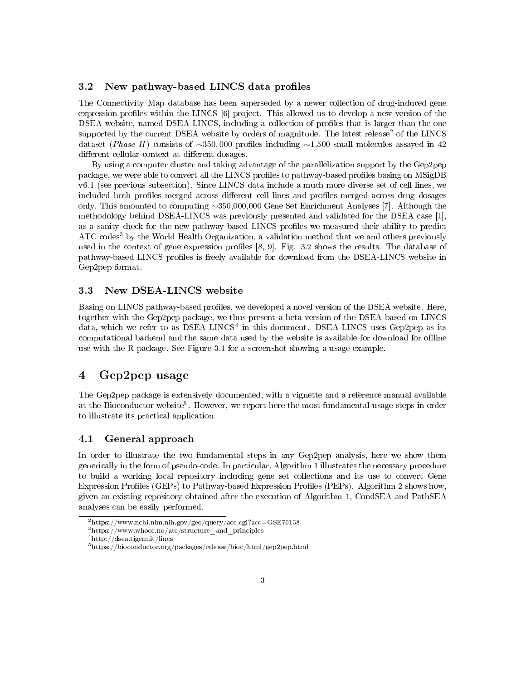#### 3.2 New pathway-based LINCS data profiles

The Connectivity Map database has been superseded by a newer collection of drug-induced gene expression profiles within the LINCS [6] project. This allowed us to develop a new version of the DSEA website, named DSEA-LINCS, including a collection of profiles that is larger than the one supported by the current DSEA website by orders of magnitude. The latest release<sup>2</sup> of the LINCS dataset (*Phase II*) consists of ∼350,000 profiles including ∼1,500 small molecules assayed in 42 different cellular context at different dosages.

By using a computer cluster and taking advantage of the parallelization support by the Gep2pep package, we were able to convert all the LINCS profiles to pathway-based profiles basing on MSigDB v6.1 (see previous subsection). Since LINCS data include a much more diverse set of cell lines, we included both profiles merged across different cell lines and profiles merged across drug dosages only. This amounted to computing ∼350,000,000 Gene Set Enrichment Analyses [7]. Although the methodology behind DSEA-LINCS was previously presented and validated for the DSEA case [1], as a sanity check for the new pathway-based LINCS profiles we measured their ability to predict ATC codes<sup>3</sup> by the World Health Organization, a validation method that we and others previously used in the context of gene expression profiles  $[8, 9]$ . Fig. 3.2 shows the results. The database of pathway-based LINCS profiles is freely available for download from the DSEA-LINCS website in Gep2pep format.

#### 3.3 New DSEA-LINCS website

Basing on LINCS pathway-based profiles, we developed a novel version of the DSEA website. Here, together with the Gep2pep package, we thus present a beta version of the DSEA based on LINCS data, which we refer to as DSEA-LINCS<sup>4</sup> in this document. DSEA-LINCS uses Gep2pep as its computational backend and the same data used by the website is available for download for offline use with the R package. See Figure 3.1 for a screenshot showing a usage example.

# 4 Gep2pep usage

The Gep2pep package is extensively documented, with a vignette and a reference manual available at the Bioconductor website<sup>5</sup>. However, we report here the most fundamental usage steps in order to illustrate its practical application.

#### 4.1 General approach

In order to illustrate the two fundamental steps in any Gep2pep analysis, here we show them generically in the form of pseudo-code. In particular, Algorithm 1 illustrates the necessary procedure to build a working local repository including gene set collections and its use to convert Gene Expression Profiles (GEPs) to Pathway-based Expression Profiles (PEPs). Algorithm 2 shows how, given an existing repository obtained after the execution of Algorithm 1, CondSEA and PathSEA analyses can be easily performed.

<sup>2</sup>https://www.ncbi.nlm.nih.gov/geo/query/acc.cgi?acc=GSE70138

 $3$ https://www.whocc.no/atc/structure and principles

<sup>4</sup>http://dsea.tigem.it/lincs

<sup>5</sup>https://bioconductor.org/packages/release/bioc/html/gep2pep.html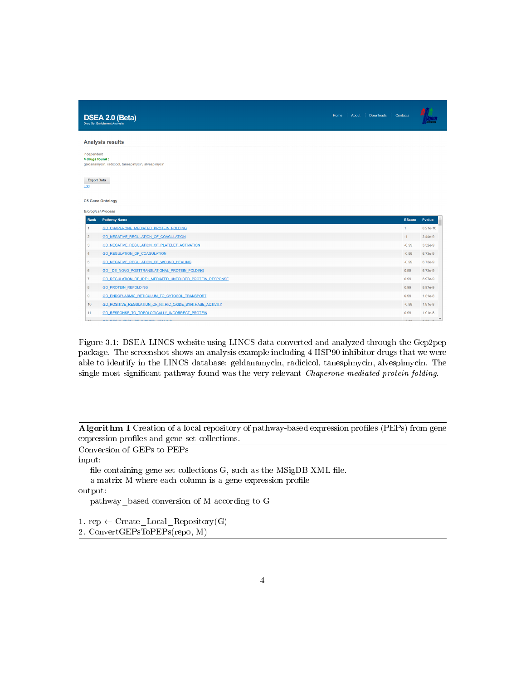|                               | <b>DSEA 2.0 (Beta)</b><br><b>Drug Set Enrichment Analysis</b> | Home | <b>About</b> | <b>Downloads</b> | Contacts      |                |
|-------------------------------|---------------------------------------------------------------|------|--------------|------------------|---------------|----------------|
| <b>Analysis results</b>       |                                                               |      |              |                  |               |                |
| independent<br>4 drugs found: | geldanamycin, radicicol, tanespimycin, alvespimycin           |      |              |                  |               |                |
| <b>Export Data</b><br>Log     |                                                               |      |              |                  |               |                |
| <b>C5 Gene Ontology</b>       |                                                               |      |              |                  |               |                |
|                               | <b>Biological Process</b>                                     |      |              |                  |               |                |
| Rank                          | <b>Pathway Name</b>                                           |      |              |                  | <b>EScore</b> | <b>P</b> value |
| $\mathbf{1}$                  | GO_CHAPERONE_MEDIATED_PROTEIN_FOLDING                         |      |              |                  | 1             | 6.21e-10       |
| $\overline{2}$                | <b>GO NEGATIVE REGULATION OF COAGULATION</b>                  |      |              |                  | $-1$          | $2.44e-9$      |
| 3                             | GO NEGATIVE REGULATION OF PLATELET ACTIVATION                 |      |              |                  | $-0.99$       | $3.52e-9$      |
| 4                             | <b>GO REGULATION OF COAGULATION</b>                           |      |              |                  | $-0.99$       | 6.73e-9        |
| 5                             | GO NEGATIVE REGULATION OF WOUND HEALING                       |      |              |                  | $-0.99$       | 6.73e-9        |
| 6                             | GO DE NOVO POSTTRANSLATIONAL PROTEIN FOLDING                  |      |              |                  | 0.99          | 6.73e-9        |
| $\overline{7}$                | GO REGULATION OF IRE1 MEDIATED UNFOLDED PROTEIN RESPONSE      |      |              |                  | 0.99          | 8.97e-9        |
| 8                             | <b>GO PROTEIN REFOLDING</b>                                   |      |              |                  | 0.99          | 8.97e-9        |
| 9                             | GO ENDOPLASMIC RETICULUM TO CYTOSOL TRANSPORT                 |      |              |                  | 0.99          | $1.51e-8$      |
| 10                            | GO POSITIVE REGULATION OF NITRIC OXIDE SYNTHASE ACTIVITY      |      |              |                  | $-0.99$       | $1.91e-8$      |
| 11                            | GO_RESPONSE_TO_TOPOLOGICALLY_INCORRECT_PROTEIN                |      |              |                  | 0.99          | $1.91e-8$      |
|                               |                                                               |      |              |                  |               |                |

Figure 3.1: DSEA-LINCS website using LINCS data converted and analyzed through the Gep2pep package. The screenshot shows an analysis example including 4 HSP90 inhibitor drugs that we were able to identify in the LINCS database: geldanamycin, radicicol, tanespimycin, alvespimycin. The single most significant pathway found was the very relevant *Chaperone mediated protein folding*.

Algorithm 1 Creation of a local repository of pathway-based expression profiles (PEPs) from gene expression profiles and gene set collections.

Conversion of GEPs to PEPs

input:

file containing gene set collections  $G$ , such as the  $MSigDB$  XML file. a matrix M where each column is a gene expression profile

output:

pathway\_based conversion of M according to G

1. rep  $\leftarrow$  Create\_Local\_Repository(G)

2. ConvertGEPsToPEPs(repo, M)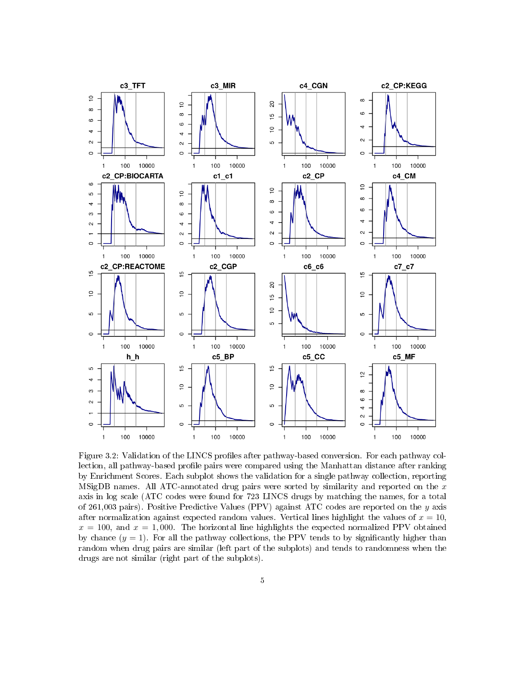

Figure 3.2: Validation of the LINCS profiles after pathway-based conversion. For each pathway collection, all pathway-based profile pairs were compared using the Manhattan distance after ranking by Enrichment Scores. Each subplot shows the validation for a single pathway collection, reporting MSigDB names. All ATC-annotated drug pairs were sorted by similarity and reported on the  $x$ axis in log scale (ATC codes were found for 723 LINCS drugs by matching the names, for a total of 261,003 pairs). Positive Predictive Values (PPV) against ATC codes are reported on the y axis after normalization against expected random values. Vertical lines highlight the values of  $x = 10$ ,  $x = 100$ , and  $x = 1,000$ . The horizontal line highlights the expected normalized PPV obtained by chance  $(y = 1)$ . For all the pathway collections, the PPV tends to by significantly higher than random when drug pairs are similar (left part of the subplots) and tends to randomness when the drugs are not similar (right part of the subplots).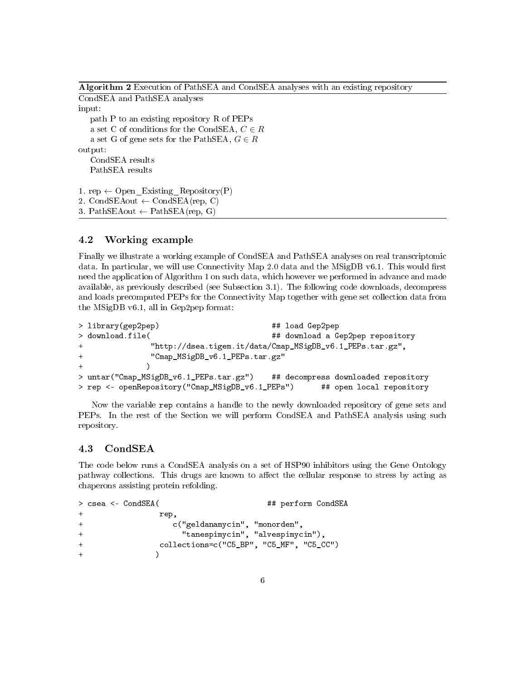Algorithm 2 Execution of PathSEA and CondSEA analyses with an existing repository

CondSEA and PathSEA analyses input: path P to an existing repository R of PEPs a set C of conditions for the CondSEA,  $C \in R$ a set G of gene sets for the PathSEA,  $G \in R$ output: CondSEA results PathSEA results 1. rep  $\leftarrow$  Open\_Existing\_Repository(P)

```
2. CondSEAout \leftarrow CondSEA(rep, C)
```

```
3. PathSEAout \leftarrow PathSEA(rep, G)
```
### 4.2 Working example

Finally we illustrate a working example of CondSEA and PathSEA analyses on real transcriptomic data. In particular, we will use Connectivity Map 2.0 data and the  $MSigDB v6.1$ . This would first need the application of Algorithm 1 on such data, which however we performed in advance and made available, as previously described (see Subsection 3.1). The following code downloads, decompress and loads precomputed PEPs for the Connectivity Map together with gene set collection data from the MSigDB v6.1, all in Gep2pep format:

```
> library(gep2pep) ## load Gep2pep
> download.file( ## download a Gep2pep repository
+ "http://dsea.tigem.it/data/Cmap_MSigDB_v6.1_PEPs.tar.gz",
+ "Cmap_MSigDB_v6.1_PEPs.tar.gz"
+ )
> untar("Cmap_MSigDB_v6.1_PEPs.tar.gz") ## decompress downloaded repository
> rep <- openRepository("Cmap_MSigDB_v6.1_PEPs") ## open local repository
```
Now the variable rep contains a handle to the newly downloaded repository of gene sets and PEPs. In the rest of the Section we will perform CondSEA and PathSEA analysis using such repository.

### 4.3 CondSEA

The code below runs a CondSEA analysis on a set of HSP90 inhibitors using the Gene Ontology pathway collections. This drugs are known to affect the cellular response to stress by acting as chaperons assisting protein refolding.

```
> csea <- CondSEA( ## perform CondSEA
+ rep,
+ c("geldanamycin", "monorden",
+ "tanespimycin", "alvespimycin"),
+ collections=c("C5_BP", "C5_MF", "C5_CC")
+ )
```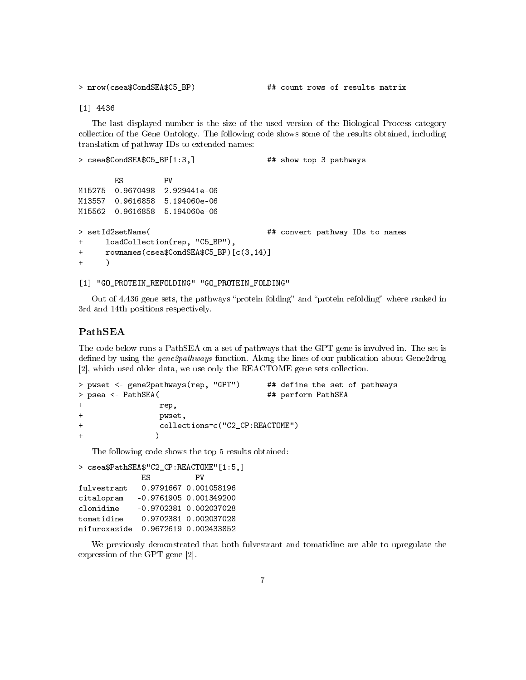> nrow(csea\$CondSEA\$C5\_BP) ## count rows of results matrix

[1] 4436

The last displayed number is the size of the used version of the Biological Process category collection of the Gene Ontology. The following code shows some of the results obtained, including translation of pathway IDs to extended names:

```
> csea$CondSEA$C5_BP[1:3,] \qquad ## show top 3 pathways
      ES PV
M15275 0.9670498 2.929441e-06
M13557 0.9616858 5.194060e-06
M15562 0.9616858 5.194060e-06
> setId2setName( \qquad ## convert pathway IDs to names
+ loadCollection(rep, "C5_BP"),
+ rownames(csea$CondSEA$C5_BP)[c(3,14)]
+ )
```
[1] "GO\_PROTEIN\_REFOLDING" "GO\_PROTEIN\_FOLDING"

Out of 4,436 gene sets, the pathways "protein folding" and "protein refolding" where ranked in 3rd and 14th positions respectively.

### PathSEA

The code below runs a PathSEA on a set of pathways that the GPT gene is involved in. The set is defined by using the gene2pathways function. Along the lines of our publication about Gene2drug [2], which used older data, we use only the REACTOME gene sets collection.

```
> pwset <- gene2pathways(rep, "GPT") ## define the set of pathways
> psea <- PathSEA( ## perform PathSEA
+ rep,
+ pwset,
+ collections=c("C2_CP:REACTOME")
+ )
```
The following code shows the top 5 results obtained:

> csea\$PathSEA\$"C2\_CP:REACTOME"[1:5,] ES PV fulvestrant 0.9791667 0.001058196 citalopram -0.9761905 0.001349200 clonidine -0.9702381 0.002037028 tomatidine 0.9702381 0.002037028 nifuroxazide 0.9672619 0.002433852

We previously demonstrated that both fulvestrant and tomatidine are able to upregulate the expression of the GPT gene [2].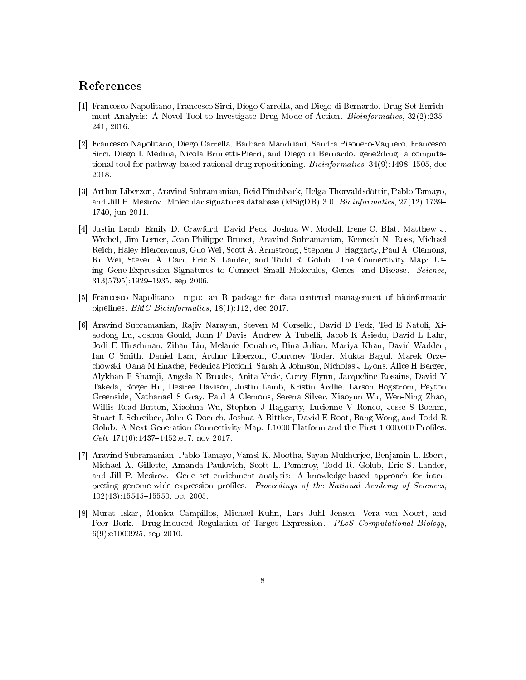## References

- [1] Francesco Napolitano, Francesco Sirci, Diego Carrella, and Diego di Bernardo. Drug-Set Enrichment Analysis: A Novel Tool to Investigate Drug Mode of Action. *Bioinformatics*,  $32(2):235-$ 241, 2016.
- [2] Francesco Napolitano, Diego Carrella, Barbara Mandriani, Sandra Pisonero-Vaquero, Francesco Sirci, Diego L Medina, Nicola Brunetti-Pierri, and Diego di Bernardo. gene2drug: a computational tool for pathway-based rational drug repositioning. *Bioinformatics*,  $34(9)$ :1498–1505, dec 2018.
- [3] Arthur Liberzon, Aravind Subramanian, Reid Pinchback, Helga Thorvaldsdóttir, Pablo Tamayo, and Jill P. Mesirov. Molecular signatures database (MSigDB) 3.0. Bioinformatics, 27(12):1739 1740, jun 2011.
- [4] Justin Lamb, Emily D. Crawford, David Peck, Joshua W. Modell, Irene C. Blat, Matthew J. Wrobel, Jim Lerner, Jean-Philippe Brunet, Aravind Subramanian, Kenneth N. Ross, Michael Reich, Haley Hieronymus, Guo Wei, Scott A. Armstrong, Stephen J. Haggarty, Paul A. Clemons, Ru Wei, Steven A. Carr, Eric S. Lander, and Todd R. Golub. The Connectivity Map: Using Gene-Expression Signatures to Connect Small Molecules, Genes, and Disease. Science,  $313(5795):1929-1935$ , sep 2006.
- [5] Francesco Napolitano. repo: an R package for data-centered management of bioinformatic pipelines. BMC Bioinformatics, 18(1):112, dec 2017.
- [6] Aravind Subramanian, Rajiv Narayan, Steven M Corsello, David D Peck, Ted E Natoli, Xiaodong Lu, Joshua Gould, John F Davis, Andrew A Tubelli, Jacob K Asiedu, David L Lahr, Jodi E Hirschman, Zihan Liu, Melanie Donahue, Bina Julian, Mariya Khan, David Wadden, Ian C Smith, Daniel Lam, Arthur Liberzon, Courtney Toder, Mukta Bagul, Marek Orzechowski, Oana M Enache, Federica Piccioni, Sarah A Johnson, Nicholas J Lyons, Alice H Berger, Alykhan F Shamji, Angela N Brooks, Anita Vrcic, Corey Flynn, Jacqueline Rosains, David Y Takeda, Roger Hu, Desiree Davison, Justin Lamb, Kristin Ardlie, Larson Hogstrom, Peyton Greenside, Nathanael S Gray, Paul A Clemons, Serena Silver, Xiaoyun Wu, Wen-Ning Zhao, Willis Read-Button, Xiaohua Wu, Stephen J Haggarty, Lucienne V Ronco, Jesse S Boehm, Stuart L Schreiber, John G Doench, Joshua A Bittker, David E Root, Bang Wong, and Todd R Golub. A Next Generation Connectivity Map: L1000 Platform and the First 1,000,000 Profiles. Cell, 171(6):1437-1452.e17, nov 2017.
- [7] Aravind Subramanian, Pablo Tamayo, Vamsi K. Mootha, Sayan Mukherjee, Benjamin L. Ebert, Michael A. Gillette, Amanda Paulovich, Scott L. Pomeroy, Todd R. Golub, Eric S. Lander, and Jill P. Mesirov. Gene set enrichment analysis: A knowledge-based approach for interpreting genome-wide expression profiles. Proceedings of the National Academy of Sciences,  $102(43)$ :15545-15550, oct 2005.
- [8] Murat Iskar, Monica Campillos, Michael Kuhn, Lars Juhl Jensen, Vera van Noort, and Peer Bork. Drug-Induced Regulation of Target Expression. PLoS Computational Biology, 6(9):e1000925, sep 2010.